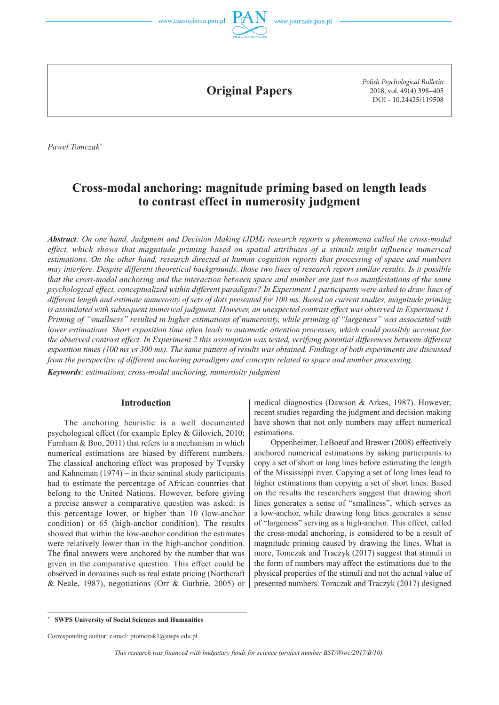



**Original Papers**

*Polish Psychological Bulletin* 2018, vol. 49(4) 398–405 DOI - 10.24425/119508

*Pawel Tomczak***\***

# **Cross-modal anchoring: magnitude priming based on length leads to contrast effect in numerosity judgment**

*Abstract: On one hand, Judgment and Decision Making (JDM) research reports a phenomena called the cross-modal effect, which shows that magnitude priming based on spatial attributes of a stimuli might influence numerical estimations. On the other hand, research directed at human cognition reports that processing of space and numbers may interfere. Despite different theoretical backgrounds, those two lines of research report similar results. Is it possible that the cross-modal anchoring and the interaction between space and number are just two manifestations of the same psychological effect, conceptualized within different paradigms? In Experiment 1 participants were asked to draw lines of different length and estimate numerosity of sets of dots presented for 100 ms. Based on current studies, magnitude priming is assimilated with subsequent numerical judgment. However, an unexpected contrast effect was observed in Experiment 1. Priming of "smallness" resulted in higher estimations of numerosity, while priming of "largeness" was associated with lower estimations. Short exposition time often leads to automatic attention processes, which could possibly account for the observed contrast effect. In Experiment 2 this assumption was tested, verifying potential differences between different exposition times (100 ms vs 300 ms). The same pattern of results was obtained. Findings of both experiments are discussed from the perspective of different anchoring paradigms and concepts related to space and number processing.*

*Keywords: estimations, cross-modal anchoring, numerosity judgment*

#### **Introduction**

The anchoring heuristic is a well documented psychological effect (for example Epley & Gilovich, 2010; Furnham & Boo, 2011) that refers to a mechanism in which numerical estimations are biased by different numbers. The classical anchoring effect was proposed by Tversky and Kahneman (1974) – in their seminal study participants had to estimate the percentage of African countries that belong to the United Nations. However, before giving a precise answer a comparative question was asked: is this percentage lower, or higher than 10 (low-anchor condition) or 65 (high-anchor condition). The results showed that within the low-anchor condition the estimates were relatively lower than in the high-anchor condition. The final answers were anchored by the number that was given in the comparative question. This effect could be observed in domaines such as real estate pricing (Northcraft & Neale, 1987), negotiations (Orr & Guthrie, 2005) or

medical diagnostics (Dawson & Arkes, 1987). However, recent studies regarding the judgment and decision making have shown that not only numbers may affect numerical estimations.

Oppenheimer, LeBoeuf and Brewer (2008) effectively anchored numerical estimations by asking participants to copy a set of short or long lines before estimating the length of the Mississippi river. Copying a set of long lines lead to higher estimations than copying a set of short lines. Based on the results the researchers suggest that drawing short lines generates a sense of "smallness", which serves as a low-anchor, while drawing long lines generates a sense of "largeness" serving as a high-anchor. This effect, called the cross-modal anchoring, is considered to be a result of magnitude priming caused by drawing the lines. What is more, Tomczak and Traczyk (2017) suggest that stimuli in the form of numbers may affect the estimations due to the physical properties of the stimuli and not the actual value of presented numbers. Tomczak and Traczyk (2017) designed

*This research was financed with budgetary funds for science (project number BST/Wroc/2017/B/10).*

**SWPS University of Social Sciences and Humanities** 

Corresponding author: e-mail: ptomczak1@swps.edu.pl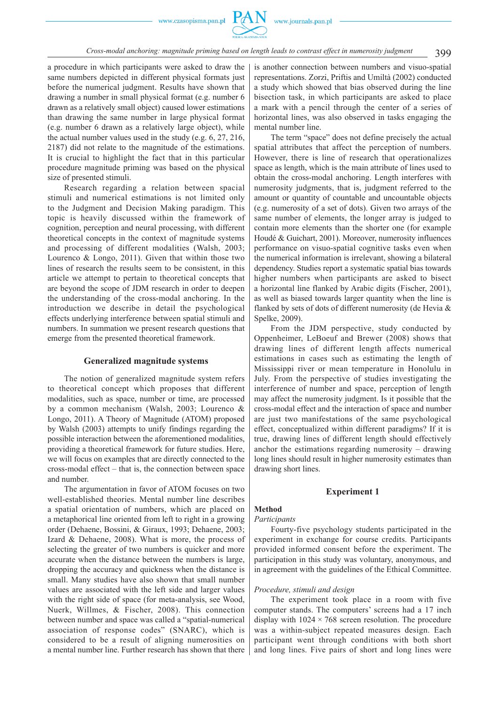#### 399 *Cross-modal anchoring: magnitude priming based on length leads to contrast effect in numerosity judgment*

a procedure in which participants were asked to draw the same numbers depicted in different physical formats just before the numerical judgment. Results have shown that drawing a number in small physical format (e.g. number 6 drawn as a relatively small object) caused lower estimations than drawing the same number in large physical format (e.g. number 6 drawn as a relatively large object), while the actual number values used in the study (e.g. 6, 27, 216, 2187) did not relate to the magnitude of the estimations. It is crucial to highlight the fact that in this particular procedure magnitude priming was based on the physical size of presented stimuli.

Research regarding a relation between spacial stimuli and numerical estimations is not limited only to the Judgment and Decision Making paradigm. This topic is heavily discussed within the framework of cognition, perception and neural processing, with different theoretical concepts in the context of magnitude systems and processing of different modalities (Walsh, 2003; Lourenco & Longo, 2011). Given that within those two lines of research the results seem to be consistent, in this article we attempt to pertain to theoretical concepts that are beyond the scope of JDM research in order to deepen the understanding of the cross-modal anchoring. In the introduction we describe in detail the psychological effects underlying interference between spatial stimuli and numbers. In summation we present research questions that emerge from the presented theoretical framework.

#### **Generalized magnitude systems**

The notion of generalized magnitude system refers to theoretical concept which proposes that different modalities, such as space, number or time, are processed by a common mechanism (Walsh, 2003; Lourenco & Longo, 2011). A Theory of Magnitude (ATOM) proposed by Walsh (2003) attempts to unify findings regarding the possible interaction between the aforementioned modalities, providing a theoretical framework for future studies. Here, we will focus on examples that are directly connected to the cross-modal effect – that is, the connection between space and number.

The argumentation in favor of ATOM focuses on two well-established theories. Mental number line describes a spatial orientation of numbers, which are placed on a metaphorical line oriented from left to right in a growing order (Dehaene, Bossini, & Giraux, 1993; Dehaene, 2003; Izard & Dehaene, 2008). What is more, the process of selecting the greater of two numbers is quicker and more accurate when the distance between the numbers is large, dropping the accuracy and quickness when the distance is small. Many studies have also shown that small number values are associated with the left side and larger values with the right side of space (for meta-analysis, see Wood, Nuerk, Willmes, & Fischer, 2008). This connection between number and space was called a "spatial-numerical association of response codes" (SNARC), which is considered to be a result of aligning numerosities on a mental number line. Further research has shown that there

is another connection between numbers and visuo-spatial representations. Zorzi, Priftis and Umiltà (2002) conducted a study which showed that bias observed during the line bisection task, in which participants are asked to place a mark with a pencil through the center of a series of horizontal lines, was also observed in tasks engaging the mental number line.

The term "space" does not define precisely the actual spatial attributes that affect the perception of numbers. However, there is line of research that operationalizes space as length, which is the main attribute of lines used to obtain the cross-modal anchoring. Length interferes with numerosity judgments, that is, judgment referred to the amount or quantity of countable and uncountable objects (e.g. numerosity of a set of dots). Given two arrays of the same number of elements, the longer array is judged to contain more elements than the shorter one (for example Houdé & Guichart, 2001). Moreover, numerosity influences performance on visuo-spatial cognitive tasks even when the numerical information is irrelevant, showing a bilateral dependency. Studies report a systematic spatial bias towards higher numbers when participants are asked to bisect a horizontal line flanked by Arabic digits (Fischer, 2001), as well as biased towards larger quantity when the line is flanked by sets of dots of different numerosity (de Hevia & Spelke, 2009).

From the JDM perspective, study conducted by Oppenheimer, LeBoeuf and Brewer (2008) shows that drawing lines of different length affects numerical estimations in cases such as estimating the length of Mississippi river or mean temperature in Honolulu in July. From the perspective of studies investigating the interference of number and space, perception of length may affect the numerosity judgment. Is it possible that the cross-modal effect and the interaction of space and number are just two manifestations of the same psychological effect, conceptualized within different paradigms? If it is true, drawing lines of different length should effectively anchor the estimations regarding numerosity – drawing long lines should result in higher numerosity estimates than drawing short lines.

#### **Experiment 1**

#### **Method**

#### *Participants*

Fourty-five psychology students participated in the experiment in exchange for course credits. Participants provided informed consent before the experiment. The participation in this study was voluntary, anonymous, and in agreement with the guidelines of the Ethical Committee.

#### *Procedure, stimuli and design*

The experiment took place in a room with five computer stands. The computers' screens had a 17 inch display with  $1024 \times 768$  screen resolution. The procedure was a within-subject repeated measures design. Each participant went through conditions with both short and long lines. Five pairs of short and long lines were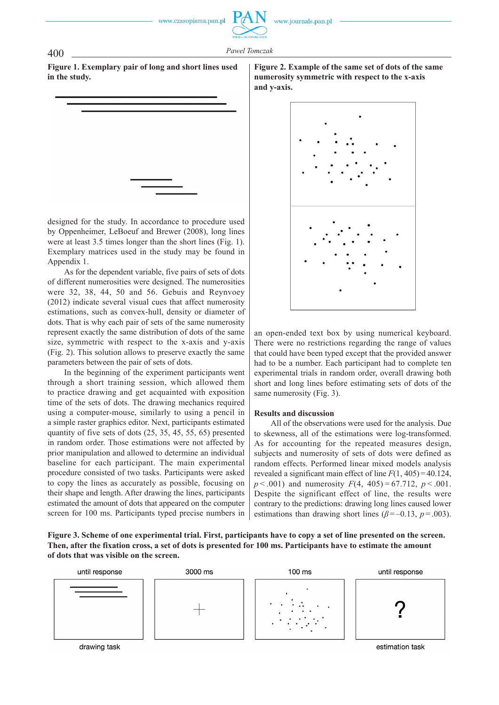## 400 *Pawel Tomczak*

**Figure 1. Exemplary pair of long and short lines used in the study.**

designed for the study. In accordance to procedure used by Oppenheimer, LeBoeuf and Brewer (2008), long lines were at least 3.5 times longer than the short lines (Fig. 1). Exemplary matrices used in the study may be found in Appendix 1.

As for the dependent variable, five pairs of sets of dots of different numerosities were designed. The numerosities were 32, 38, 44, 50 and 56. Gebuis and Reynvoey (2012) indicate several visual cues that affect numerosity estimations, such as convex-hull, density or diameter of dots. That is why each pair of sets of the same numerosity represent exactly the same distribution of dots of the same size, symmetric with respect to the x-axis and y-axis (Fig. 2). This solution allows to preserve exactly the same parameters between the pair of sets of dots.

In the beginning of the experiment participants went through a short training session, which allowed them to practice drawing and get acquainted with exposition time of the sets of dots. The drawing mechanics required using a computer-mouse, similarly to using a pencil in a simple raster graphics editor. Next, participants estimated quantity of five sets of dots (25, 35, 45, 55, 65) presented in random order. Those estimations were not affected by prior manipulation and allowed to determine an individual baseline for each participant. The main experimental procedure consisted of two tasks. Participants were asked to copy the lines as accurately as possible, focusing on their shape and length. After drawing the lines, participants estimated the amount of dots that appeared on the computer screen for 100 ms. Participants typed precise numbers in **Figure 2. Example of the same set of dots of the same numerosity symmetric with respect to the x-axis and y-axis.**



an open-ended text box by using numerical keyboard. There were no restrictions regarding the range of values that could have been typed except that the provided answer had to be a number. Each participant had to complete ten experimental trials in random order, overall drawing both short and long lines before estimating sets of dots of the same numerosity (Fig. 3).

#### **Results and discussion**

All of the observations were used for the analysis. Due to skewness, all of the estimations were log-transformed. As for accounting for the repeated measures design, subjects and numerosity of sets of dots were defined as random effects. Performed linear mixed models analysis revealed a significant main effect of line *F*(1, 405) = 40.124,  $p < .001$ ) and numerosity  $F(4, 405) = 67.712$ ,  $p < .001$ . Despite the significant effect of line, the results were contrary to the predictions: drawing long lines caused lower estimations than drawing short lines ( $\beta$ =-0.13, *p*=.003).

**Figure 3. Scheme of one experimental trial. First, participants have to copy a set of line presented on the screen. Then, after the fixation cross, a set of dots is presented for 100 ms. Participants have to estimate the amount of dots that was visible on the screen.**



drawing task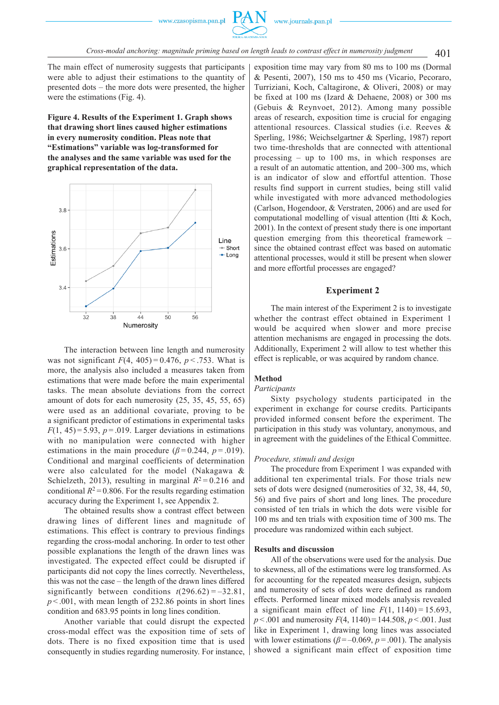

The main effect of numerosity suggests that participants were able to adjust their estimations to the quantity of presented dots – the more dots were presented, the higher were the estimations (Fig. 4).

**Figure 4. Results of the Experiment 1. Graph shows that drawing short lines caused higher estimations in every numerosity condition. Pleas note that "Estimations" variable was log-transformed for the analyses and the same variable was used for the graphical representation of the data.**



The interaction between line length and numerosity was not significant  $F(4, 405) = 0.476$ ,  $p < .753$ . What is more, the analysis also included a measures taken from estimations that were made before the main experimental tasks. The mean absolute deviations from the correct amount of dots for each numerosity (25, 35, 45, 55, 65) were used as an additional covariate, proving to be a significant predictor of estimations in experimental tasks  $F(1, 45) = 5.93$ ,  $p = .019$ . Larger deviations in estimations with no manipulation were connected with higher estimations in the main procedure ( $\beta$ =0.244,  $p$ =.019). Conditional and marginal coefficients of determination were also calculated for the model (Nakagawa & Schielzeth, 2013), resulting in marginal  $R^2 = 0.216$  and conditional  $R^2$  = 0.806. For the results regarding estimation accuracy during the Experiment 1, see Appendix 2.

The obtained results show a contrast effect between drawing lines of different lines and magnitude of estimations. This effect is contrary to previous findings regarding the cross-modal anchoring. In order to test other possible explanations the length of the drawn lines was investigated. The expected effect could be disrupted if participants did not copy the lines correctly. Nevertheless, this was not the case – the length of the drawn lines differed significantly between conditions  $t(296.62) = -32.81$ ,  $p < .001$ , with mean length of 232.86 points in short lines condition and 683.95 points in long lines condition.

Another variable that could disrupt the expected cross-modal effect was the exposition time of sets of dots. There is no fixed exposition time that is used consequently in studies regarding numerosity. For instance,

exposition time may vary from 80 ms to 100 ms (Dormal & Pesenti, 2007), 150 ms to 450 ms (Vicario, Pecoraro, Turriziani, Koch, Caltagirone, & Oliveri, 2008) or may be fixed at 100 ms (Izard & Dehaene, 2008) or 300 ms (Gebuis & Reynvoet, 2012). Among many possible areas of research, exposition time is crucial for engaging attentional resources. Classical studies (i.e. Reeves & Sperling, 1986; Weichselgartner & Sperling, 1987) report two time-thresholds that are connected with attentional processing – up to 100 ms, in which responses are a result of an automatic attention, and 200–300 ms, which is an indicator of slow and effortful attention. Those results find support in current studies, being still valid while investigated with more advanced methodologies (Carlson, Hogendoor, & Verstraten, 2006) and are used for computational modelling of visual attention (Itti & Koch, 2001). In the context of present study there is one important question emerging from this theoretical framework – since the obtained contrast effect was based on automatic attentional processes, would it still be present when slower and more effortful processes are engaged?

#### **Experiment 2**

The main interest of the Experiment 2 is to investigate whether the contrast effect obtained in Experiment 1 would be acquired when slower and more precise attention mechanisms are engaged in processing the dots. Additionally, Experiment 2 will allow to test whether this effect is replicable, or was acquired by random chance.

#### **Method**

#### *Participants*

Sixty psychology students participated in the experiment in exchange for course credits. Participants provided informed consent before the experiment. The participation in this study was voluntary, anonymous, and in agreement with the guidelines of the Ethical Committee.

#### *Procedure, stimuli and design*

The procedure from Experiment 1 was expanded with additional ten experimental trials. For those trials new sets of dots were designed (numerosities of 32, 38, 44, 50, 56) and five pairs of short and long lines. The procedure consisted of ten trials in which the dots were visible for 100 ms and ten trials with exposition time of 300 ms. The procedure was randomized within each subject.

#### **Results and discussion**

All of the observations were used for the analysis. Due to skewness, all of the estimations were log transformed. As for accounting for the repeated measures design, subjects and numerosity of sets of dots were defined as random effects. Performed linear mixed models analysis revealed a significant main effect of line  $F(1, 1140) = 15.693$ , *p* < .001 and numerosity *F*(4, 1140) = 144.508, *p* < .001. Just like in Experiment 1, drawing long lines was associated with lower estimations ( $\beta$ =-0.069,  $p$ =.001). The analysis showed a significant main effect of exposition time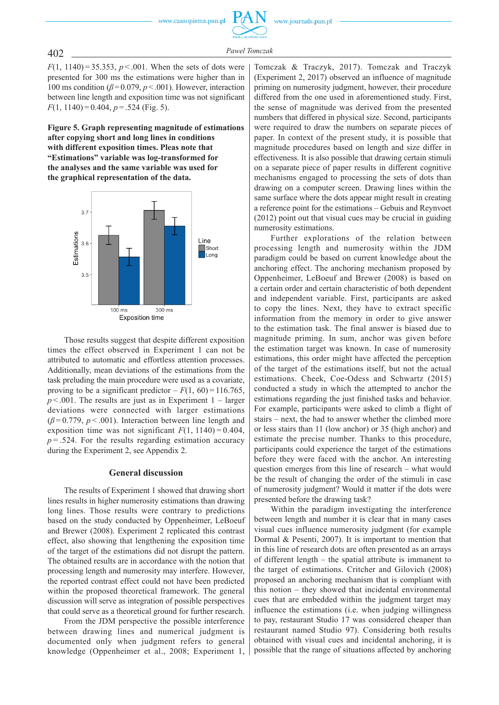

*F*(1, 1140) = 35.353,  $p < .001$ . When the sets of dots were presented for 300 ms the estimations were higher than in 100 ms condition ( $\beta$ =0.079,  $p$  < .001). However, interaction between line length and exposition time was not significant *F*(1, 1140) = 0.404, *p* = .524 (Fig. 5).

**Figure 5. Graph representing magnitude of estimations after copying short and long lines in conditions with different exposition times. Pleas note that "Estimations" variable was log-transformed for the analyses and the same variable was used for the graphical representation of the data.**



Those results suggest that despite different exposition times the effect observed in Experiment 1 can not be attributed to automatic and effortless attention processes. Additionally, mean deviations of the estimations from the task preluding the main procedure were used as a covariate, proving to be a significant predictor  $-F(1, 60) = 116.765$ ,  $p < .001$ . The results are just as in Experiment 1 – larger deviations were connected with larger estimations  $(\beta = 0.779, p < .001)$ . Interaction between line length and exposition time was not significant  $F(1, 1140) = 0.404$ ,  $p = 0.524$ . For the results regarding estimation accuracy during the Experiment 2, see Appendix 2.

#### **General discussion**

The results of Experiment 1 showed that drawing short lines results in higher numerosity estimations than drawing long lines. Those results were contrary to predictions based on the study conducted by Oppenheimer, LeBoeuf and Brewer (2008). Experiment 2 replicated this contrast effect, also showing that lengthening the exposition time of the target of the estimations did not disrupt the pattern. The obtained results are in accordance with the notion that processing length and numerosity may interfere. However, the reported contrast effect could not have been predicted within the proposed theoretical framework. The general discussion will serve as integration of possible perspectives that could serve as a theoretical ground for further research.

From the JDM perspective the possible interference between drawing lines and numerical judgment is documented only when judgment refers to general knowledge (Oppenheimer et al., 2008; Experiment 1,

Tomczak & Traczyk, 2017). Tomczak and Traczyk (Experiment 2, 2017) observed an influence of magnitude priming on numerosity judgment, however, their procedure differed from the one used in aforementioned study. First, the sense of magnitude was derived from the presented numbers that differed in physical size. Second, participants were required to draw the numbers on separate pieces of paper. In context of the present study, it is possible that magnitude procedures based on length and size differ in effectiveness. It is also possible that drawing certain stimuli on a separate piece of paper results in different cognitive mechanisms engaged to processing the sets of dots than drawing on a computer screen. Drawing lines within the same surface where the dots appear might result in creating a reference point for the estimations – Gebuis and Reynvoet (2012) point out that visual cues may be crucial in guiding numerosity estimations.

Further explorations of the relation between processing length and numerosity within the JDM paradigm could be based on current knowledge about the anchoring effect. The anchoring mechanism proposed by Oppenheimer, LeBoeuf and Brewer (2008) is based on a certain order and certain characteristic of both dependent and independent variable. First, participants are asked to copy the lines. Next, they have to extract specific information from the memory in order to give answer to the estimation task. The final answer is biased due to magnitude priming. In sum, anchor was given before the estimation target was known. In case of numerosity estimations, this order might have affected the perception of the target of the estimations itself, but not the actual estimations. Cheek, Coe-Odess and Schwartz (2015) conducted a study in which the attempted to anchor the estimations regarding the just finished tasks and behavior. For example, participants were asked to climb a flight of stairs – next, the had to answer whether the climbed more or less stairs than 11 (low anchor) or 35 (high anchor) and estimate the precise number. Thanks to this procedure, participants could experience the target of the estimations before they were faced with the anchor. An interesting question emerges from this line of research – what would be the result of changing the order of the stimuli in case of numerosity judgment? Would it matter if the dots were presented before the drawing task?

Within the paradigm investigating the interference between length and number it is clear that in many cases visual cues influence numerosity judgment (for example Dormal & Pesenti, 2007). It is important to mention that in this line of research dots are often presented as an arrays of different length – the spatial attribute is immanent to the target of estimations. Critcher and Gilovich (2008) proposed an anchoring mechanism that is compliant with this notion – they showed that incidental environmental cues that are embedded within the judgment target may influence the estimations (i.e. when judging willingness to pay, restaurant Studio 17 was considered cheaper than restaurant named Studio 97). Considering both results obtained with visual cues and incidental anchoring, it is possible that the range of situations affected by anchoring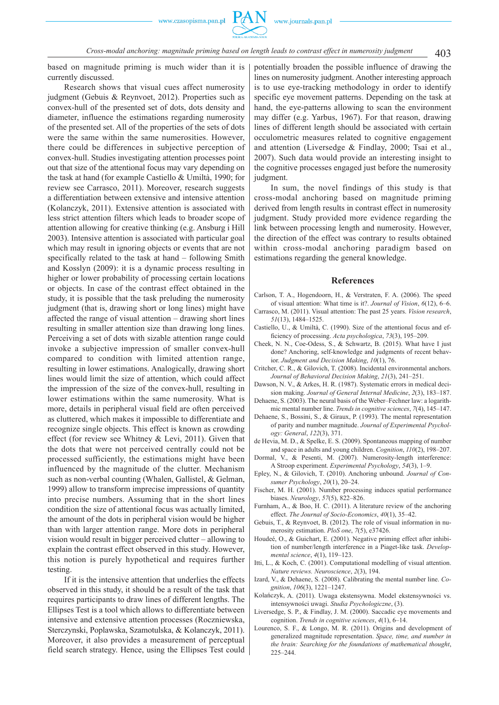403 *Cross-modal anchoring: magnitude priming based on length leads to contrast effect in numerosity judgment*

based on magnitude priming is much wider than it is currently discussed.

Research shows that visual cues affect numerosity judgment (Gebuis & Reynvoet, 2012). Properties such as convex-hull of the presented set of dots, dots density and diameter, influence the estimations regarding numerosity of the presented set. All of the properties of the sets of dots were the same within the same numerosities. However, there could be differences in subjective perception of convex-hull. Studies investigating attention processes point out that size of the attentional focus may vary depending on the task at hand (for example Castiello & Umiltà, 1990; for review see Carrasco, 2011). Moreover, research suggests a differentiation between extensive and intensive attention (Kolanczyk, 2011). Extensive attention is associated with less strict attention filters which leads to broader scope of attention allowing for creative thinking (e.g. Ansburg i Hill 2003). Intensive attention is associated with particular goal which may result in ignoring objects or events that are not specifically related to the task at hand – following Smith and Kosslyn (2009): it is a dynamic process resulting in higher or lower probability of processing certain locations or objects. In case of the contrast effect obtained in the study, it is possible that the task preluding the numerosity judgment (that is, drawing short or long lines) might have affected the range of visual attention – drawing short lines resulting in smaller attention size than drawing long lines. Perceiving a set of dots with sizable attention range could invoke a subjective impression of smaller convex-hull compared to condition with limited attention range, resulting in lower estimations. Analogically, drawing short lines would limit the size of attention, which could affect the impression of the size of the convex-hull, resulting in lower estimations within the same numerosity. What is more, details in peripheral visual field are often perceived as cluttered, which makes it impossible to differentiate and recognize single objects. This effect is known as crowding effect (for review see Whitney & Levi, 2011). Given that the dots that were not perceived centrally could not be processed sufficiently, the estimations might have been influenced by the magnitude of the clutter. Mechanism such as non-verbal counting (Whalen, Gallistel, & Gelman, 1999) allow to transform imprecise impressions of quantity into precise numbers. Assuming that in the short lines condition the size of attentional focus was actually limited, the amount of the dots in peripheral vision would be higher than with larger attention range. More dots in peripheral vision would result in bigger perceived clutter – allowing to explain the contrast effect observed in this study. However, this notion is purely hypothetical and requires further testing.

If it is the intensive attention that underlies the effects observed in this study, it should be a result of the task that requires participants to draw lines of different lengths. The Ellipses Test is a tool which allows to differentiate between intensive and extensive attention processes (Roczniewska, Sterczynski, Poplawska, Szamotulska, & Kolanczyk, 2011). Moreover, it also provides a measurement of perceptual field search strategy. Hence, using the Ellipses Test could potentially broaden the possible influence of drawing the lines on numerosity judgment. Another interesting approach is to use eye-tracking methodology in order to identify specific eye movement patterns. Depending on the task at hand, the eye-patterns allowing to scan the environment may differ (e.g. Yarbus, 1967). For that reason, drawing lines of different length should be associated with certain occulometric measures related to cognitive engagement and attention (Liversedge & Findlay, 2000; Tsai et al., 2007). Such data would provide an interesting insight to the cognitive processes engaged just before the numerosity judgment.

In sum, the novel findings of this study is that cross-modal anchoring based on magnitude priming derived from length results in contrast effect in numerosity judgment. Study provided more evidence regarding the link between processing length and numerosity. However, the direction of the effect was contrary to results obtained within cross-modal anchoring paradigm based on estimations regarding the general knowledge.

#### **References**

- Carlson, T. A., Hogendoorn, H., & Verstraten, F. A. (2006). The speed of visual attention: What time is it?. *Journal of Vision*, *6*(12), 6–6.
- Carrasco, M. (2011). Visual attention: The past 25 years. *Vision research*, *51*(13), 1484–1525.
- Castiello, U., & Umiltà, C. (1990). Size of the attentional focus and efficiency of processing. *Acta psychologica*, 73(3), 195–209.
- Cheek, N. N., Coe-Odess, S., & Schwartz, B. (2015). What have I just done? Anchoring, self-knowledge and judgments of recent behavior. *Judgment and Decision Making*, *10*(1), 76.
- Critcher, C. R., & Gilovich, T. (2008). Incidental environmental anchors. *Journal of Behavioral Decision Making*, *21*(3), 241–251.
- Dawson, N. V., & Arkes, H. R. (1987). Systematic errors in medical decision making. *Journal of General Internal Medicine*, *2*(3), 183–187.
- Dehaene, S. (2003). The neural basis of the Weber–Fechner law: a logarithmic mental number line. *Trends in cognitive sciences*, *7*(4), 145–147.
- Dehaene, S., Bossini, S., & Giraux, P. (1993). The mental representation of parity and number magnitude. *Journal of Experimental Psychology: General*, *122*(3), 371.
- de Hevia, M. D., & Spelke, E. S. (2009). Spontaneous mapping of number and space in adults and young children. *Cognition*, *110*(2), 198–207.
- Dormal, V., & Pesenti, M. (2007). Numerosity-length interference: A Stroop experiment. *Experimental Psychology*, *54*(3), 1–9.
- Epley, N., & Gilovich, T. (2010). Anchoring unbound. *Journal of Consumer Psychology*, *20*(1), 20–24.
- Fischer, M. H. (2001). Number processing induces spatial performance biases. *Neurology*, *57*(5), 822–826.
- Furnham, A., & Boo, H. C. (2011). A literature review of the anchoring effect. *The Journal of Socio-Economics*, *40*(1), 35–42.
- Gebuis, T., & Reynvoet, B. (2012). The role of visual information in numerosity estimation. *PloS one*, *7*(5), e37426.
- Houdeé, O., & Guichart, E. (2001). Negative priming effect after inhibition of number/length interference in a Piaget-like task. *Developmental science*, *4*(1), 119–123.
- Itti, L., & Koch, C. (2001). Computational modelling of visual attention. *Nature reviews. Neuroscience*, *2*(3), 194.
- Izard, V., & Dehaene, S. (2008). Calibrating the mental number line. *Cognition*, *106*(3), 1221–1247.
- Kolańczyk, A. (2011). Uwaga ekstensywna. Model ekstensywności vs. intensywności uwagi. *Studia Psychologiczne*, (3).
- Liversedge, S. P., & Findlay, J. M. (2000). Saccadic eye movements and cognition. *Trends in cognitive sciences*, *4*(1), 6–14.
- Lourenco, S. F., & Longo, M. R. (2011). Origins and development of generalized magnitude representation. *Space, time, and number in the brain: Searching for the foundations of mathematical thought*, 225–244.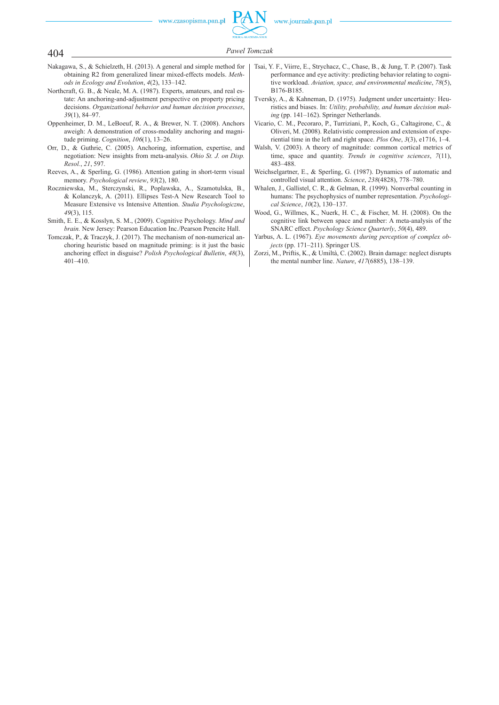

### 404 *Pawel Tomczak*

- Nakagawa, S., & Schielzeth, H. (2013). A general and simple method for obtaining R2 from generalized linear mixed-effects models. *Methods in Ecology and Evolution*, *4*(2), 133–142.
- Northcraft, G. B., & Neale, M. A. (1987). Experts, amateurs, and real estate: An anchoring-and-adjustment perspective on property pricing decisions. *Organizational behavior and human decision processes*, *39*(1), 84–97.
- Oppenheimer, D. M., LeBoeuf, R. A., & Brewer, N. T. (2008). Anchors aweigh: A demonstration of cross-modality anchoring and magnitude priming. *Cognition*, *106*(1), 13–26.
- Orr, D., & Guthrie, C. (2005). Anchoring, information, expertise, and negotiation: New insights from meta-analysis. *Ohio St. J. on Disp. Resol.*, *21*, 597.
- Reeves, A., & Sperling, G. (1986). Attention gating in short-term visual memory. *Psychological review*, *93*(2), 180.
- Roczniewska, M., Sterczynski, R., Poplawska, A., Szamotulska, B., & Kolanczyk, A. (2011). Ellipses Test-A New Research Tool to Measure Extensive vs Intensive Attention. *Studia Psychologiczne*, *49*(3), 115.
- Smith, E. E., & Kosslyn, S. M., (2009). Cognitive Psychology. *Mind and brain.* New Jersey: Pearson Education Inc./Pearson Prencite Hall.
- Tomczak, P., & Traczyk, J. (2017). The mechanism of non-numerical anchoring heuristic based on magnitude priming: is it just the basic anchoring effect in disguise? *Polish Psychological Bulletin*, *48*(3), 401–410.
- Tsai, Y. F., Viirre, E., Strychacz, C., Chase, B., & Jung, T. P. (2007). Task performance and eye activity: predicting behavior relating to cognitive workload. *Aviation, space, and environmental medicine*, *78*(5), B176-B185.
- Tversky, A., & Kahneman, D. (1975). Judgment under uncertainty: Heuristics and biases. In: *Utility, probability, and human decision making* (pp. 141–162). Springer Netherlands.
- Vicario, C. M., Pecoraro, P., Turriziani, P., Koch, G., Caltagirone, C., & Oliveri, M. (2008). Relativistic compression and extension of experiential time in the left and right space. *Plos One*, *3*(3), e1716, 1–4.
- Walsh, V. (2003). A theory of magnitude: common cortical metrics of time, space and quantity. *Trends in cognitive sciences*, *7*(11), 483–488.
- Weichselgartner, E., & Sperling, G. (1987). Dynamics of automatic and controlled visual attention. *Science*, *238*(4828), 778–780.
- Whalen, J., Gallistel, C. R., & Gelman, R. (1999). Nonverbal counting in humans: The psychophysics of number representation. *Psychological Science*, *10*(2), 130–137.
- Wood, G., Willmes, K., Nuerk, H. C., & Fischer, M. H. (2008). On the cognitive link between space and number: A meta-analysis of the SNARC effect. *Psychology Science Quarterly*, *50*(4), 489.
- Yarbus, A. L. (1967). *Eye movements during perception of complex objects* (pp. 171–211). Springer US.
- Zorzi, M., Priftis, K., & Umiltà, C. (2002). Brain damage: neglect disrupts the mental number line. *Nature*, *417*(6885), 138–139.